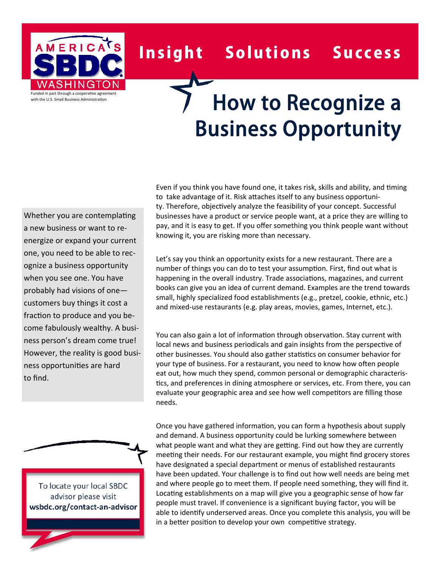

## Insight Solutions Success

## How to Recognize a Business Opportunity

Whether you are contemplating a new business or want to re‐ energize or expand your current one, you need to be able to rec‐ ognize a business opportunity when you see one. You have probably had visions of one customers buy things it cost a fraction to produce and you become fabulously wealthy. A busi‐ ness person's dream come true! However, the reality is good busi‐ ness opportuniƟes are hard to find.

To locate your local SBDC advisor please visit **wsbdc.org/contact‐an‐advisor** Even if you think you have found one, it takes risk, skills and ability, and timing to take advantage of it. Risk attaches itself to any business opportunity. Therefore, objectively analyze the feasibility of your concept. Successful businesses have a product or service people want, at a price they are willing to pay, and it is easy to get. If you offer something you think people want without knowing it, you are risking more than necessary.

Let's say you think an opportunity exists for a new restaurant. There are a number of things you can do to test your assumption. First, find out what is happening in the overall industry. Trade associations, magazines, and current books can give you an idea of current demand. Examples are the trend towards small, highly specialized food establishments (e.g., pretzel, cookie, ethnic, etc.) and mixed-use restaurants (e.g. play areas, movies, games, Internet, etc.).

You can also gain a lot of information through observation. Stay current with local news and business periodicals and gain insights from the perspective of other businesses. You should also gather statistics on consumer behavior for your type of business. For a restaurant, you need to know how often people eat out, how much they spend, common personal or demographic characteris‐ tics, and preferences in dining atmosphere or services, etc. From there, you can evaluate your geographic area and see how well competitors are filling those needs.

Once you have gathered information, you can form a hypothesis about supply and demand. A business opportunity could be lurking somewhere between what people want and what they are getting. Find out how they are currently meeting their needs. For our restaurant example, you might find grocery stores have designated a special department or menus of established restaurants have been updated. Your challenge is to find out how well needs are being met and where people go to meet them. If people need something, they will find it. Locating establishments on a map will give you a geographic sense of how far people must travel. If convenience is a significant buying factor, you will be able to identify underserved areas. Once you complete this analysis, you will be in a better position to develop your own competitive strategy.